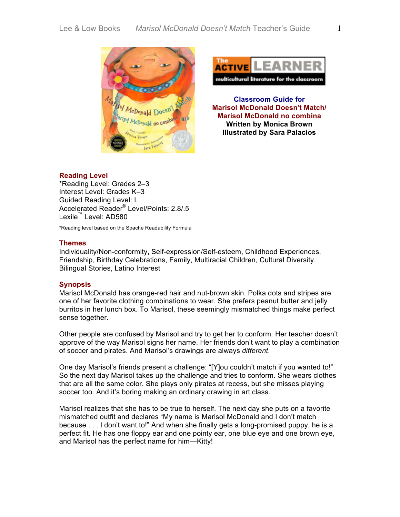



**Classroom Guide for Marisol McDonald Doesn't Match/ Marisol McDonald no combina Written by Monica Brown Illustrated by Sara Palacios**

# **Reading Level**

\*Reading Level: Grades 2–3 Interest Level: Grades K–3 Guided Reading Level: L Accelerated Reader® Level/Points: 2.8/.5 Lexile™ Level: AD580

\*Reading level based on the Spache Readability Formula

## **Themes**

Individuality/Non-conformity, Self-expression/Self-esteem, Childhood Experiences, Friendship, Birthday Celebrations, Family, Multiracial Children, Cultural Diversity, Bilingual Stories, Latino Interest

### **Synopsis**

Marisol McDonald has orange-red hair and nut-brown skin. Polka dots and stripes are one of her favorite clothing combinations to wear. She prefers peanut butter and jelly burritos in her lunch box. To Marisol, these seemingly mismatched things make perfect sense together.

Other people are confused by Marisol and try to get her to conform. Her teacher doesn't approve of the way Marisol signs her name. Her friends don't want to play a combination of soccer and pirates. And Marisol's drawings are always *different*.

One day Marisol's friends present a challenge: "[Y]ou couldn't match if you wanted to!" So the next day Marisol takes up the challenge and tries to conform. She wears clothes that are all the same color. She plays only pirates at recess, but she misses playing soccer too. And it's boring making an ordinary drawing in art class.

Marisol realizes that she has to be true to herself. The next day she puts on a favorite mismatched outfit and declares "My name is Marisol McDonald and I don't match because . . . I don't want to!" And when she finally gets a long-promised puppy, he is a perfect fit. He has one floppy ear and one pointy ear, one blue eye and one brown eye, and Marisol has the perfect name for him—Kitty!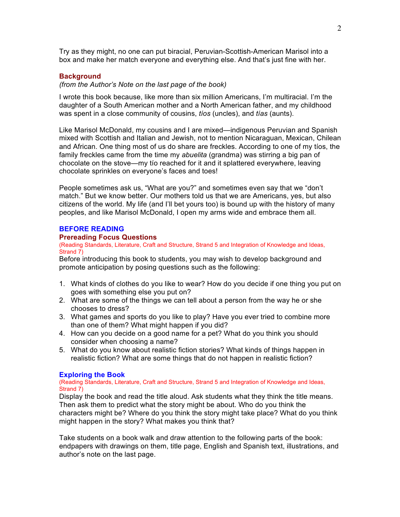Try as they might, no one can put biracial, Peruvian-Scottish-American Marisol into a box and make her match everyone and everything else. And that's just fine with her.

### **Background**

### *(from the Author's Note on the last page of the book)*

I wrote this book because, like more than six million Americans, I'm multiracial. I'm the daughter of a South American mother and a North American father, and my childhood was spent in a close community of cousins, *tíos* (uncles), and *tías* (aunts).

Like Marisol McDonald, my cousins and I are mixed—indigenous Peruvian and Spanish mixed with Scottish and Italian and Jewish, not to mention Nicaraguan, Mexican, Chilean and African. One thing most of us do share are freckles. According to one of my tíos, the family freckles came from the time my *abuelita* (grandma) was stirring a big pan of chocolate on the stove—my tío reached for it and it splattered everywhere, leaving chocolate sprinkles on everyone's faces and toes!

People sometimes ask us, "What are you?" and sometimes even say that we "don't match." But we know better. Our mothers told us that we are Americans, yes, but also citizens of the world. My life (and I'll bet yours too) is bound up with the history of many peoples, and like Marisol McDonald, I open my arms wide and embrace them all.

### **BEFORE READING**

# **Prereading Focus Questions**

(Reading Standards, Literature, Craft and Structure, Strand 5 and Integration of Knowledge and Ideas, Strand 7)

Before introducing this book to students, you may wish to develop background and promote anticipation by posing questions such as the following:

- 1. What kinds of clothes do you like to wear? How do you decide if one thing you put on goes with something else you put on?
- 2. What are some of the things we can tell about a person from the way he or she chooses to dress?
- 3. What games and sports do you like to play? Have you ever tried to combine more than one of them? What might happen if you did?
- 4. How can you decide on a good name for a pet? What do you think you should consider when choosing a name?
- 5. What do you know about realistic fiction stories? What kinds of things happen in realistic fiction? What are some things that do not happen in realistic fiction?

### **Exploring the Book**

(Reading Standards, Literature, Craft and Structure, Strand 5 and Integration of Knowledge and Ideas, Strand 7)

Display the book and read the title aloud. Ask students what they think the title means. Then ask them to predict what the story might be about. Who do you think the characters might be? Where do you think the story might take place? What do you think might happen in the story? What makes you think that?

Take students on a book walk and draw attention to the following parts of the book: endpapers with drawings on them, title page, English and Spanish text, illustrations, and author's note on the last page.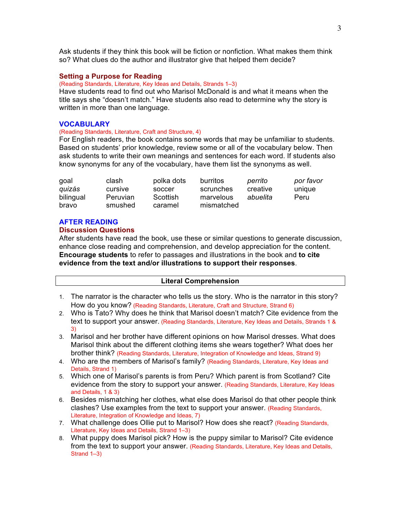Ask students if they think this book will be fiction or nonfiction. What makes them think so? What clues do the author and illustrator give that helped them decide?

## **Setting a Purpose for Reading**

(Reading Standards, Literature, Key Ideas and Details, Strands 1–3)

Have students read to find out who Marisol McDonald is and what it means when the title says she "doesn't match." Have students also read to determine why the story is written in more than one language.

#### **VOCABULARY**

## (Reading Standards, Literature, Craft and Structure, 4)

For English readers, the book contains some words that may be unfamiliar to students. Based on students' prior knowledge, review some or all of the vocabulary below. Then ask students to write their own meanings and sentences for each word. If students also know synonyms for any of the vocabulary, have them list the synonyms as well.

| goal      | clash           | polka dots | burritos   | perrito  | por favor |
|-----------|-----------------|------------|------------|----------|-----------|
| quizás    | cursive         | soccer     | scrunches  | creative | unique    |
| bilingual | <b>Peruvian</b> | Scottish   | marvelous  | abuelita | Peru      |
| bravo     | smushed         | caramel    | mismatched |          |           |

#### **AFTER READING**

## **Discussion Questions**

After students have read the book, use these or similar questions to generate discussion, enhance close reading and comprehension, and develop appreciation for the content. **Encourage students** to refer to passages and illustrations in the book and **to cite evidence from the text and/or illustrations to support their responses**.

## **Literal Comprehension**

- 1. The narrator is the character who tells us the story. Who is the narrator in this story? How do you know? (Reading Standards, Literature, Craft and Structure, Strand 6)
- 2. Who is Tato? Why does he think that Marisol doesn't match? Cite evidence from the text to support your answer. (Reading Standards, Literature, Key Ideas and Details, Strands 1 & 3)
- 3. Marisol and her brother have different opinions on how Marisol dresses. What does Marisol think about the different clothing items she wears together? What does her brother think? (Reading Standards, Literature, Integration of Knowledge and Ideas, Strand 9)
- 4. Who are the members of Marisol's family? (Reading Standards, Literature, Key Ideas and Details, Strand 1)
- 5. Which one of Marisol's parents is from Peru? Which parent is from Scotland? Cite evidence from the story to support your answer. (Reading Standards, Literature, Key Ideas and Details, 1 & 3)
- 6. Besides mismatching her clothes, what else does Marisol do that other people think clashes? Use examples from the text to support your answer. (Reading Standards, Literature, Integration of Knowledge and Ideas, 7)
- 7. What challenge does Ollie put to Marisol? How does she react? (Reading Standards, Literature, Key Ideas and Details, Strand 1–3)
- 8. What puppy does Marisol pick? How is the puppy similar to Marisol? Cite evidence from the text to support your answer. (Reading Standards, Literature, Key Ideas and Details, Strand 1–3)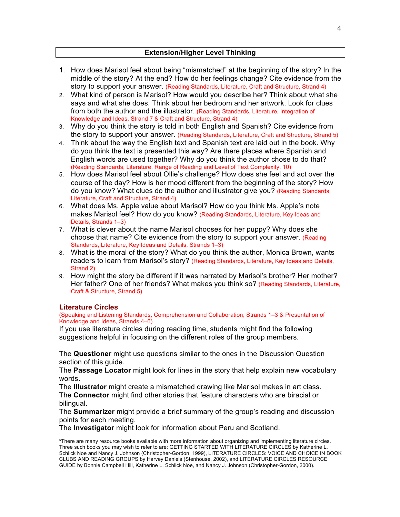# **Extension/Higher Level Thinking**

- 1. How does Marisol feel about being "mismatched" at the beginning of the story? In the middle of the story? At the end? How do her feelings change? Cite evidence from the story to support your answer. (Reading Standards, Literature, Craft and Structure, Strand 4)
- 2. What kind of person is Marisol? How would you describe her? Think about what she says and what she does. Think about her bedroom and her artwork. Look for clues from both the author and the illustrator. (Reading Standards, Literature, Integration of Knowledge and Ideas, Strand 7 & Craft and Structure, Strand 4)
- 3. Why do you think the story is told in both English and Spanish? Cite evidence from the story to support your answer. (Reading Standards, Literature, Craft and Structure, Strand 5)
- 4. Think about the way the English text and Spanish text are laid out in the book. Why do you think the text is presented this way? Are there places where Spanish and English words are used together? Why do you think the author chose to do that? (Reading Standards, Literature, Range of Reading and Level of Text Complexity, 10)
- 5. How does Marisol feel about Ollie's challenge? How does she feel and act over the course of the day? How is her mood different from the beginning of the story? How do you know? What clues do the author and illustrator give you? (Reading Standards, Literature, Craft and Structure, Strand 4)
- 6. What does Ms. Apple value about Marisol? How do you think Ms. Apple's note makes Marisol feel? How do you know? (Reading Standards, Literature, Key Ideas and Details, Strands 1–3)
- 7. What is clever about the name Marisol chooses for her puppy? Why does she choose that name? Cite evidence from the story to support your answer. (Reading Standards, Literature, Key Ideas and Details, Strands 1–3)
- 8. What is the moral of the story? What do you think the author, Monica Brown, wants readers to learn from Marisol's story? (Reading Standards, Literature, Key Ideas and Details, Strand 2)
- 9. How might the story be different if it was narrated by Marisol's brother? Her mother? Her father? One of her friends? What makes you think so? (Reading Standards, Literature, Craft & Structure, Strand 5)

# **Literature Circles**

(Speaking and Listening Standards, Comprehension and Collaboration, Strands 1–3 & Presentation of Knowledge and Ideas, Strands 4–6)

If you use literature circles during reading time, students might find the following suggestions helpful in focusing on the different roles of the group members.

The **Questioner** might use questions similar to the ones in the Discussion Question section of this guide.

The **Passage Locator** might look for lines in the story that help explain new vocabulary words.

The **Illustrator** might create a mismatched drawing like Marisol makes in art class. The **Connector** might find other stories that feature characters who are biracial or bilingual.

The **Summarizer** might provide a brief summary of the group's reading and discussion points for each meeting.

The **Investigator** might look for information about Peru and Scotland.

**\***There are many resource books available with more information about organizing and implementing literature circles. Three such books you may wish to refer to are: GETTING STARTED WITH LITERATURE CIRCLES by Katherine L. Schlick Noe and Nancy J. Johnson (Christopher-Gordon, 1999), LITERATURE CIRCLES: VOICE AND CHOICE IN BOOK CLUBS AND READING GROUPS by Harvey Daniels (Stenhouse, 2002), and LITERATURE CIRCLES RESOURCE GUIDE by Bonnie Campbell Hill, Katherine L. Schlick Noe, and Nancy J. Johnson (Christopher-Gordon, 2000).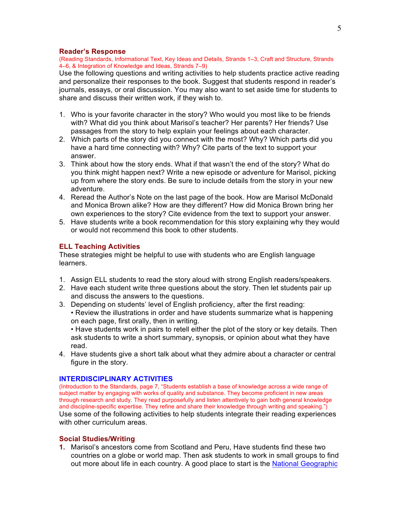### **Reader's Response**

(Reading Standards, Informational Text, Key Ideas and Details, Strands 1–3, Craft and Structure, Strands 4–6, & Integration of Knowledge and Ideas, Strands 7–9)

Use the following questions and writing activities to help students practice active reading and personalize their responses to the book. Suggest that students respond in reader's journals, essays, or oral discussion. You may also want to set aside time for students to share and discuss their written work, if they wish to.

- 1. Who is your favorite character in the story? Who would you most like to be friends with? What did you think about Marisol's teacher? Her parents? Her friends? Use passages from the story to help explain your feelings about each character.
- 2. Which parts of the story did you connect with the most? Why? Which parts did you have a hard time connecting with? Why? Cite parts of the text to support your answer.
- 3. Think about how the story ends. What if that wasn't the end of the story? What do you think might happen next? Write a new episode or adventure for Marisol, picking up from where the story ends. Be sure to include details from the story in your new adventure.
- 4. Reread the Author's Note on the last page of the book. How are Marisol McDonald and Monica Brown alike? How are they different? How did Monica Brown bring her own experiences to the story? Cite evidence from the text to support your answer.
- 5. Have students write a book recommendation for this story explaining why they would or would not recommend this book to other students.

### **ELL Teaching Activities**

These strategies might be helpful to use with students who are English language learners.

- 1. Assign ELL students to read the story aloud with strong English readers/speakers.
- 2. Have each student write three questions about the story. Then let students pair up and discuss the answers to the questions.
- 3. Depending on students' level of English proficiency, after the first reading: • Review the illustrations in order and have students summarize what is happening on each page, first orally, then in writing.

• Have students work in pairs to retell either the plot of the story or key details. Then ask students to write a short summary, synopsis, or opinion about what they have read.

4. Have students give a short talk about what they admire about a character or central figure in the story.

## **INTERDISCIPLINARY ACTIVITIES**

(Introduction to the Standards, page 7, "Students establish a base of knowledge across a wide range of subject matter by engaging with works of quality and substance. They become proficient in new areas through research and study. They read purposefully and listen attentively to gain both general knowledge and discipline-specific expertise. They refine and share their knowledge through writing and speaking.") Use some of the following activities to help students integrate their reading experiences with other curriculum areas.

# **Social Studies/Writing**

**1.** Marisol's ancestors come from Scotland and Peru, Have students find these two countries on a globe or world map. Then ask students to work in small groups to find out more about life in each country. A good place to start is the National Geographic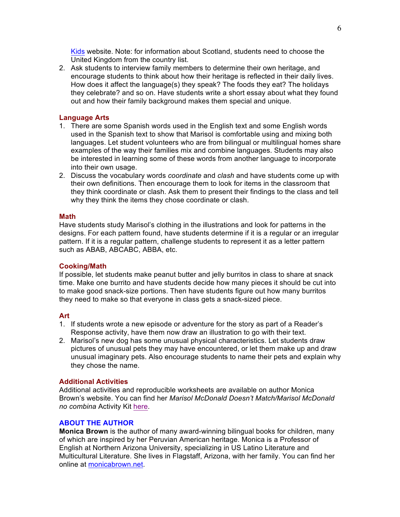Kids website. Note: for information about Scotland, students need to choose the United Kingdom from the country list.

2. Ask students to interview family members to determine their own heritage, and encourage students to think about how their heritage is reflected in their daily lives. How does it affect the language(s) they speak? The foods they eat? The holidays they celebrate? and so on. Have students write a short essay about what they found out and how their family background makes them special and unique.

## **Language Arts**

- 1. There are some Spanish words used in the English text and some English words used in the Spanish text to show that Marisol is comfortable using and mixing both languages. Let student volunteers who are from bilingual or multilingual homes share examples of the way their families mix and combine languages. Students may also be interested in learning some of these words from another language to incorporate into their own usage.
- 2. Discuss the vocabulary words *coordinate* and *clash* and have students come up with their own definitions. Then encourage them to look for items in the classroom that they think coordinate or clash. Ask them to present their findings to the class and tell why they think the items they chose coordinate or clash.

### **Math**

Have students study Marisol's clothing in the illustrations and look for patterns in the designs. For each pattern found, have students determine if it is a regular or an irregular pattern. If it is a regular pattern, challenge students to represent it as a letter pattern such as ABAB, ABCABC, ABBA, etc.

# **Cooking/Math**

If possible, let students make peanut butter and jelly burritos in class to share at snack time. Make one burrito and have students decide how many pieces it should be cut into to make good snack-size portions. Then have students figure out how many burritos they need to make so that everyone in class gets a snack-sized piece.

### **Art**

- 1. If students wrote a new episode or adventure for the story as part of a Reader's Response activity, have them now draw an illustration to go with their text.
- 2. Marisol's new dog has some unusual physical characteristics. Let students draw pictures of unusual pets they may have encountered, or let them make up and draw unusual imaginary pets. Also encourage students to name their pets and explain why they chose the name.

## **Additional Activities**

Additional activities and reproducible worksheets are available on author Monica Brown's website. You can find her *Marisol McDonald Doesn't Match/Marisol McDonald no combina* Activity Kit here.

# **ABOUT THE AUTHOR**

**Monica Brown** is the author of many award-winning bilingual books for children, many of which are inspired by her Peruvian American heritage. Monica is a Professor of English at Northern Arizona University, specializing in US Latino Literature and Multicultural Literature. She lives in Flagstaff, Arizona, with her family. You can find her online at monicabrown.net.